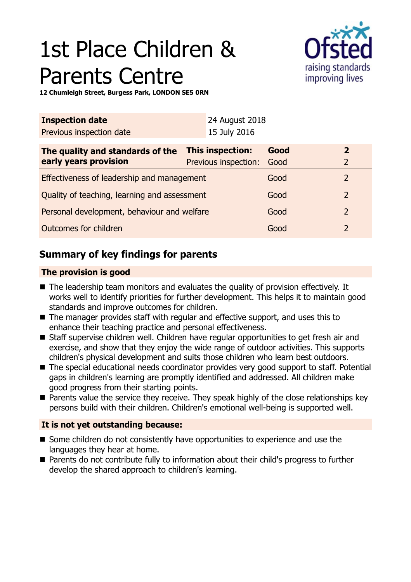# 1st Place Children & Parents Centre



**12 Chumleigh Street, Burgess Park, LONDON SE5 0RN**

| <b>Inspection date</b>                       |                         | 24 August 2018       |                |                |  |
|----------------------------------------------|-------------------------|----------------------|----------------|----------------|--|
| Previous inspection date                     |                         | 15 July 2016         |                |                |  |
| The quality and standards of the             | <b>This inspection:</b> |                      | Good           | $\overline{2}$ |  |
| early years provision                        |                         | Previous inspection: | Good           | $\overline{2}$ |  |
| Effectiveness of leadership and management   |                         |                      | Good           | 2              |  |
| Quality of teaching, learning and assessment |                         |                      | Good           | $\overline{2}$ |  |
| Personal development, behaviour and welfare  |                         | Good                 | $\overline{2}$ |                |  |
| Outcomes for children                        |                         |                      | Good           | $\overline{2}$ |  |

# **Summary of key findings for parents**

## **The provision is good**

- $\blacksquare$  The leadership team monitors and evaluates the quality of provision effectively. It works well to identify priorities for further development. This helps it to maintain good standards and improve outcomes for children.
- $\blacksquare$  The manager provides staff with regular and effective support, and uses this to enhance their teaching practice and personal effectiveness.
- Staff supervise children well. Children have regular opportunities to get fresh air and exercise, and show that they enjoy the wide range of outdoor activities. This supports children's physical development and suits those children who learn best outdoors.
- The special educational needs coordinator provides very good support to staff. Potential gaps in children's learning are promptly identified and addressed. All children make good progress from their starting points.
- $\blacksquare$  Parents value the service they receive. They speak highly of the close relationships key persons build with their children. Children's emotional well-being is supported well.

## **It is not yet outstanding because:**

- Some children do not consistently have opportunities to experience and use the languages they hear at home.
- Parents do not contribute fully to information about their child's progress to further develop the shared approach to children's learning.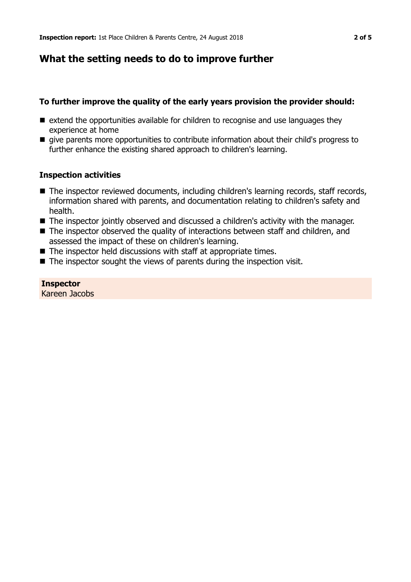# **What the setting needs to do to improve further**

## **To further improve the quality of the early years provision the provider should:**

- $\blacksquare$  extend the opportunities available for children to recognise and use languages they experience at home
- give parents more opportunities to contribute information about their child's progress to further enhance the existing shared approach to children's learning.

## **Inspection activities**

- The inspector reviewed documents, including children's learning records, staff records, information shared with parents, and documentation relating to children's safety and health.
- $\blacksquare$  The inspector jointly observed and discussed a children's activity with the manager.
- $\blacksquare$  The inspector observed the quality of interactions between staff and children, and assessed the impact of these on children's learning.
- $\blacksquare$  The inspector held discussions with staff at appropriate times.
- $\blacksquare$  The inspector sought the views of parents during the inspection visit.

**Inspector** Kareen Jacobs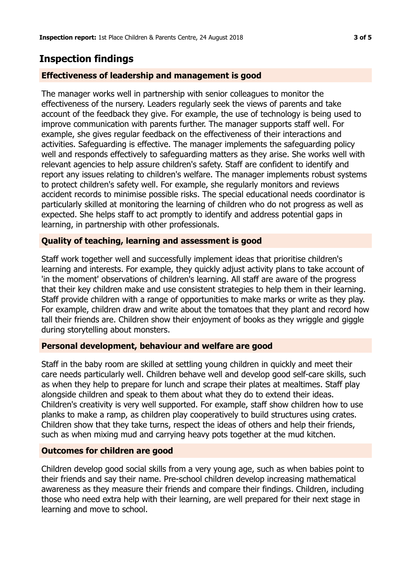# **Inspection findings**

### **Effectiveness of leadership and management is good**

The manager works well in partnership with senior colleagues to monitor the effectiveness of the nursery. Leaders regularly seek the views of parents and take account of the feedback they give. For example, the use of technology is being used to improve communication with parents further. The manager supports staff well. For example, she gives regular feedback on the effectiveness of their interactions and activities. Safeguarding is effective. The manager implements the safeguarding policy well and responds effectively to safeguarding matters as they arise. She works well with relevant agencies to help assure children's safety. Staff are confident to identify and report any issues relating to children's welfare. The manager implements robust systems to protect children's safety well. For example, she regularly monitors and reviews accident records to minimise possible risks. The special educational needs coordinator is particularly skilled at monitoring the learning of children who do not progress as well as expected. She helps staff to act promptly to identify and address potential gaps in learning, in partnership with other professionals.

#### **Quality of teaching, learning and assessment is good**

Staff work together well and successfully implement ideas that prioritise children's learning and interests. For example, they quickly adjust activity plans to take account of 'in the moment' observations of children's learning. All staff are aware of the progress that their key children make and use consistent strategies to help them in their learning. Staff provide children with a range of opportunities to make marks or write as they play. For example, children draw and write about the tomatoes that they plant and record how tall their friends are. Children show their enjoyment of books as they wriggle and giggle during storytelling about monsters.

#### **Personal development, behaviour and welfare are good**

Staff in the baby room are skilled at settling young children in quickly and meet their care needs particularly well. Children behave well and develop good self-care skills, such as when they help to prepare for lunch and scrape their plates at mealtimes. Staff play alongside children and speak to them about what they do to extend their ideas. Children's creativity is very well supported. For example, staff show children how to use planks to make a ramp, as children play cooperatively to build structures using crates. Children show that they take turns, respect the ideas of others and help their friends, such as when mixing mud and carrying heavy pots together at the mud kitchen.

#### **Outcomes for children are good**

Children develop good social skills from a very young age, such as when babies point to their friends and say their name. Pre-school children develop increasing mathematical awareness as they measure their friends and compare their findings. Children, including those who need extra help with their learning, are well prepared for their next stage in learning and move to school.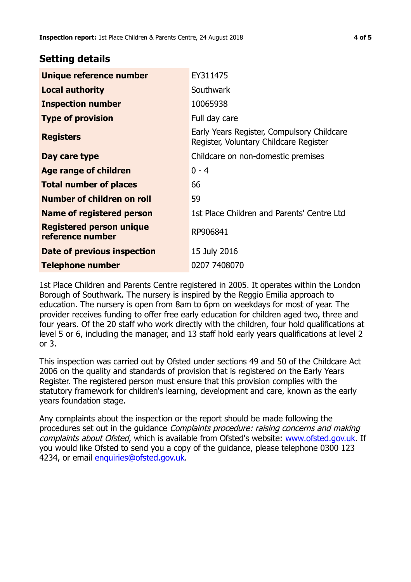## **Setting details**

| Unique reference number                             | EY311475                                                                             |
|-----------------------------------------------------|--------------------------------------------------------------------------------------|
| <b>Local authority</b>                              | Southwark                                                                            |
| <b>Inspection number</b>                            | 10065938                                                                             |
| <b>Type of provision</b>                            | Full day care                                                                        |
| <b>Registers</b>                                    | Early Years Register, Compulsory Childcare<br>Register, Voluntary Childcare Register |
| Day care type                                       | Childcare on non-domestic premises                                                   |
| Age range of children                               | $0 - 4$                                                                              |
| <b>Total number of places</b>                       | 66                                                                                   |
| Number of children on roll                          | 59                                                                                   |
| Name of registered person                           | 1st Place Children and Parents' Centre Ltd                                           |
| <b>Registered person unique</b><br>reference number | RP906841                                                                             |
| Date of previous inspection                         | 15 July 2016                                                                         |
| Telephone number                                    | 0207 7408070                                                                         |

1st Place Children and Parents Centre registered in 2005. It operates within the London Borough of Southwark. The nursery is inspired by the Reggio Emilia approach to education. The nursery is open from 8am to 6pm on weekdays for most of year. The provider receives funding to offer free early education for children aged two, three and four years. Of the 20 staff who work directly with the children, four hold qualifications at level 5 or 6, including the manager, and 13 staff hold early years qualifications at level 2 or 3.

This inspection was carried out by Ofsted under sections 49 and 50 of the Childcare Act 2006 on the quality and standards of provision that is registered on the Early Years Register. The registered person must ensure that this provision complies with the statutory framework for children's learning, development and care, known as the early years foundation stage.

Any complaints about the inspection or the report should be made following the procedures set out in the guidance Complaints procedure: raising concerns and making complaints about Ofsted, which is available from Ofsted's website: www.ofsted.gov.uk. If you would like Ofsted to send you a copy of the guidance, please telephone 0300 123 4234, or email [enquiries@ofsted.gov.uk.](mailto:enquiries@ofsted.gov.uk)